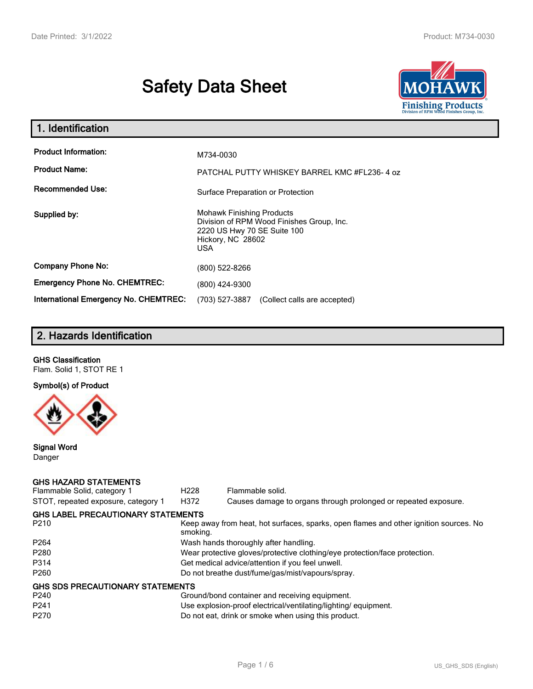# **Safety Data Sheet**



| 1. Identification                                   |                                                                                                                                                 |
|-----------------------------------------------------|-------------------------------------------------------------------------------------------------------------------------------------------------|
| <b>Product Information:</b><br><b>Product Name:</b> | M734-0030<br>PATCHAL PUTTY WHISKEY BARREL KMC #FL236-4 oz                                                                                       |
| <b>Recommended Use:</b>                             | Surface Preparation or Protection                                                                                                               |
| Supplied by:                                        | <b>Mohawk Finishing Products</b><br>Division of RPM Wood Finishes Group, Inc.<br>2220 US Hwy 70 SE Suite 100<br>Hickory, NC 28602<br><b>USA</b> |
| <b>Company Phone No:</b>                            | (800) 522-8266                                                                                                                                  |
| <b>Emergency Phone No. CHEMTREC:</b>                | (800) 424-9300                                                                                                                                  |
| <b>International Emergency No. CHEMTREC:</b>        | (703) 527-3887<br>(Collect calls are accepted)                                                                                                  |

# **2. Hazards Identification**

# **GHS Classification**

Flam. Solid 1, STOT RE 1

# **Symbol(s) of Product**



#### **Signal Word** Danger

#### **GHS HAZARD STATEMENTS**

| Flammable Solid, category 1               | H <sub>228</sub>                                                           | Flammable solid.                                                                      |  |  |
|-------------------------------------------|----------------------------------------------------------------------------|---------------------------------------------------------------------------------------|--|--|
| STOT, repeated exposure, category 1       | H372                                                                       | Causes damage to organs through prolonged or repeated exposure.                       |  |  |
| <b>GHS LABEL PRECAUTIONARY STATEMENTS</b> |                                                                            |                                                                                       |  |  |
| P <sub>210</sub>                          | smoking.                                                                   | Keep away from heat, hot surfaces, sparks, open flames and other ignition sources. No |  |  |
| P <sub>264</sub>                          | Wash hands thoroughly after handling.                                      |                                                                                       |  |  |
| P280                                      | Wear protective gloves/protective clothing/eye protection/face protection. |                                                                                       |  |  |
| P314                                      | Get medical advice/attention if you feel unwell.                           |                                                                                       |  |  |
| P <sub>260</sub>                          |                                                                            | Do not breathe dust/fume/gas/mist/vapours/spray.                                      |  |  |
| <b>GHS SDS PRECAUTIONARY STATEMENTS</b>   |                                                                            |                                                                                       |  |  |
| P <sub>240</sub>                          |                                                                            | Ground/bond container and receiving equipment.                                        |  |  |
| P <sub>241</sub>                          |                                                                            | Use explosion-proof electrical/ventilating/lighting/equipment.                        |  |  |
| P <sub>270</sub>                          |                                                                            | Do not eat, drink or smoke when using this product.                                   |  |  |
|                                           |                                                                            |                                                                                       |  |  |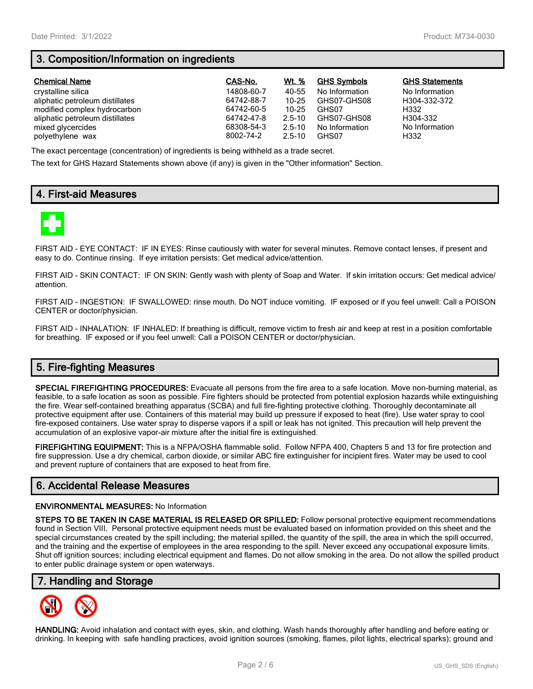# **3. Composition/Information on ingredients**

| <b>Chemical Name</b>            | CAS-No.    | Wt. %      | <b>GHS Symbols</b> | <b>GHS Statements</b> |
|---------------------------------|------------|------------|--------------------|-----------------------|
| crystalline silica              | 14808-60-7 | 40-55      | No Information     | No Information        |
| aliphatic petroleum distillates | 64742-88-7 | $10 - 25$  | GHS07-GHS08        | H304-332-372          |
| modified complex hydrocarbon    | 64742-60-5 | 10-25      | GHS07              | H332                  |
| aliphatic petroleum distillates | 64742-47-8 | $2.5 - 10$ | GHS07-GHS08        | H304-332              |
| mixed glycercides               | 68308-54-3 | $2.5 - 10$ | No Information     | No Information        |
| polyethylene wax                | 8002-74-2  | $2.5 - 10$ | GHS07              | H332                  |

The exact percentage (concentration) of ingredients is being withheld as a trade secret.

The text for GHS Hazard Statements shown above (if any) is given in the "Other information" Section.

# **4. First-aid Measures**



FIRST AID - EYE CONTACT: IF IN EYES: Rinse cautiously with water for several minutes. Remove contact lenses, if present and easy to do. Continue rinsing. If eye irritation persists: Get medical advice/attention.

FIRST AID - SKIN CONTACT: IF ON SKIN: Gently wash with plenty of Soap and Water. If skin irritation occurs: Get medical advice/ attention.

FIRST AID - INGESTION: IF SWALLOWED: rinse mouth. Do NOT induce vomiting. IF exposed or if you feel unwell: Call a POISON CENTER or doctor/physician.

FIRST AID - INHALATION: IF INHALED: If breathing is difficult, remove victim to fresh air and keep at rest in a position comfortable for breathing. IF exposed or if you feel unwell: Call a POISON CENTER or doctor/physician.

# **5. Fire-fighting Measures**

**SPECIAL FIREFIGHTING PROCEDURES:** Evacuate all persons from the fire area to a safe location. Move non-burning material, as feasible, to a safe location as soon as possible. Fire fighters should be protected from potential explosion hazards while extinguishing the fire. Wear self-contained breathing apparatus (SCBA) and full fire-fighting protective clothing. Thoroughly decontaminate all protective equipment after use. Containers of this material may build up pressure if exposed to heat (fire). Use water spray to cool fire-exposed containers. Use water spray to disperse vapors if a spill or leak has not ignited. This precaution will help prevent the accumulation of an explosive vapor-air mixture after the initial fire is extinguished.

**FIREFIGHTING EQUIPMENT:** This is a NFPA/OSHA flammable solid. Follow NFPA 400, Chapters 5 and 13 for fire protection and fire suppression. Use a dry chemical, carbon dioxide, or similar ABC fire extinguisher for incipient fires. Water may be used to cool and prevent rupture of containers that are exposed to heat from fire.

## **6. Accidental Release Measures**

#### **ENVIRONMENTAL MEASURES:** No Information

**STEPS TO BE TAKEN IN CASE MATERIAL IS RELEASED OR SPILLED:** Follow personal protective equipment recommendations found in Section VIII. Personal protective equipment needs must be evaluated based on information provided on this sheet and the special circumstances created by the spill including; the material spilled, the quantity of the spill, the area in which the spill occurred, and the training and the expertise of employees in the area responding to the spill. Never exceed any occupational exposure limits. Shut off ignition sources; including electrical equipment and flames. Do not allow smoking in the area. Do not allow the spilled product to enter public drainage system or open waterways.

## **7. Handling and Storage**



**HANDLING:** Avoid inhalation and contact with eyes, skin, and clothing. Wash hands thoroughly after handling and before eating or drinking. In keeping with safe handling practices, avoid ignition sources (smoking, flames, pilot lights, electrical sparks); ground and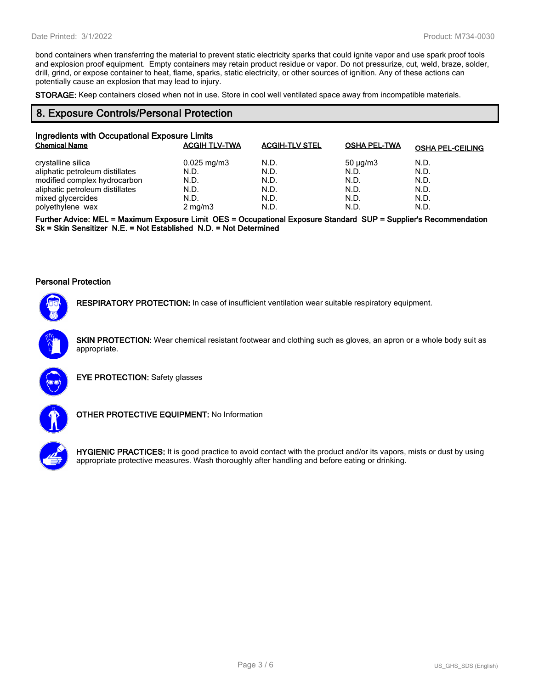bond containers when transferring the material to prevent static electricity sparks that could ignite vapor and use spark proof tools and explosion proof equipment. Empty containers may retain product residue or vapor. Do not pressurize, cut, weld, braze, solder, drill, grind, or expose container to heat, flame, sparks, static electricity, or other sources of ignition. Any of these actions can potentially cause an explosion that may lead to injury.

**STORAGE:** Keep containers closed when not in use. Store in cool well ventilated space away from incompatible materials.

## **8. Exposure Controls/Personal Protection**

| Ingredients with Occupational Exposure Limits |                         |                       |                     |                         |  |
|-----------------------------------------------|-------------------------|-----------------------|---------------------|-------------------------|--|
| <b>Chemical Name</b>                          | <b>ACGIH TLV-TWA</b>    | <b>ACGIH-TLV STEL</b> | <b>OSHA PEL-TWA</b> | <b>OSHA PEL-CEILING</b> |  |
| crystalline silica                            | $0.025 \,\mathrm{mg/m}$ | N.D.                  | $50 \mu q/m3$       | N.D.                    |  |
| aliphatic petroleum distillates               | N.D.                    | N.D.                  | N.D.                | N.D.                    |  |
| modified complex hydrocarbon                  | N.D.                    | N.D.                  | N.D.                | N.D.                    |  |
| aliphatic petroleum distillates               | N.D.                    | N.D.                  | N.D.                | N.D.                    |  |
| mixed glycercides                             | N.D.                    | N.D.                  | N.D.                | N.D.                    |  |
| polyethylene wax                              | $2 \text{ mg/m}$        | N.D.                  | N.D.                | N.D.                    |  |

**Further Advice: MEL = Maximum Exposure Limit OES = Occupational Exposure Standard SUP = Supplier's Recommendation Sk = Skin Sensitizer N.E. = Not Established N.D. = Not Determined**

#### **Personal Protection**



**RESPIRATORY PROTECTION:** In case of insufficient ventilation wear suitable respiratory equipment.

**SKIN PROTECTION:** Wear chemical resistant footwear and clothing such as gloves, an apron or a whole body suit as appropriate.



**EYE PROTECTION:** Safety glasses



**OTHER PROTECTIVE EQUIPMENT:** No Information



**HYGIENIC PRACTICES:** It is good practice to avoid contact with the product and/or its vapors, mists or dust by using appropriate protective measures. Wash thoroughly after handling and before eating or drinking.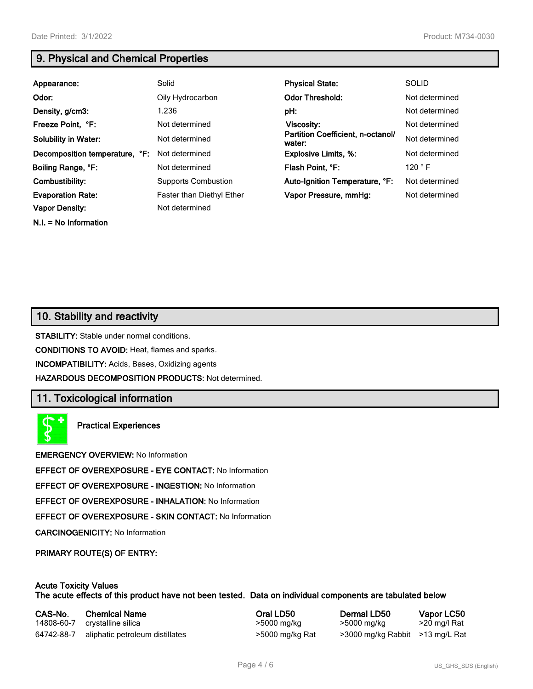**N.I. = No Information**

# **9. Physical and Chemical Properties**

| Appearance:                    | Solid                      | <b>Physical State:</b>                      | <b>SOLID</b>    |
|--------------------------------|----------------------------|---------------------------------------------|-----------------|
| Odor:                          | Oily Hydrocarbon           | <b>Odor Threshold:</b>                      | Not determined  |
| Density, g/cm3:                | 1.236                      | pH:                                         | Not determined  |
| Freeze Point, °F:              | Not determined             | Viscosity:                                  | Not determined  |
| <b>Solubility in Water:</b>    | Not determined             | Partition Coefficient, n-octanol/<br>water: | Not determined  |
| Decomposition temperature, °F: | Not determined             | <b>Explosive Limits, %:</b>                 | Not determined  |
| Boiling Range, °F:             | Not determined             | Flash Point, °F:                            | 120 $\degree$ F |
| Combustibility:                | <b>Supports Combustion</b> | Auto-Ignition Temperature, °F:              | Not determined  |
| <b>Evaporation Rate:</b>       | Faster than Diethyl Ether  | Vapor Pressure, mmHg:                       | Not determined  |
| <b>Vapor Density:</b>          | Not determined             |                                             |                 |

# **10. Stability and reactivity**

**STABILITY:** Stable under normal conditions.

**CONDITIONS TO AVOID:** Heat, flames and sparks.

**INCOMPATIBILITY:** Acids, Bases, Oxidizing agents

**HAZARDOUS DECOMPOSITION PRODUCTS:** Not determined.

## **11. Toxicological information**

**Practical Experiences**

**EMERGENCY OVERVIEW:** No Information

**EFFECT OF OVEREXPOSURE - EYE CONTACT:** No Information

**EFFECT OF OVEREXPOSURE - INGESTION:** No Information

**EFFECT OF OVEREXPOSURE - INHALATION:** No Information

**EFFECT OF OVEREXPOSURE - SKIN CONTACT:** No Information

**CARCINOGENICITY:** No Information

**PRIMARY ROUTE(S) OF ENTRY:**

#### **Acute Toxicity Values The acute effects of this product have not been tested. Data on individual components are tabulated below**

| CAS-No.    | <b>Chemical Name</b>            | Oral LD50       | Dermal LD50                     | Vapor LC50   |
|------------|---------------------------------|-----------------|---------------------------------|--------------|
| 14808-60-7 | crystalline silica              | >5000 mg/kg     | >5000 mg/kg                     | >20 mg/l Rat |
| 64742-88-7 | aliphatic petroleum distillates | >5000 mg/kg Rat | >3000 mg/kg Rabbit >13 mg/L Rat |              |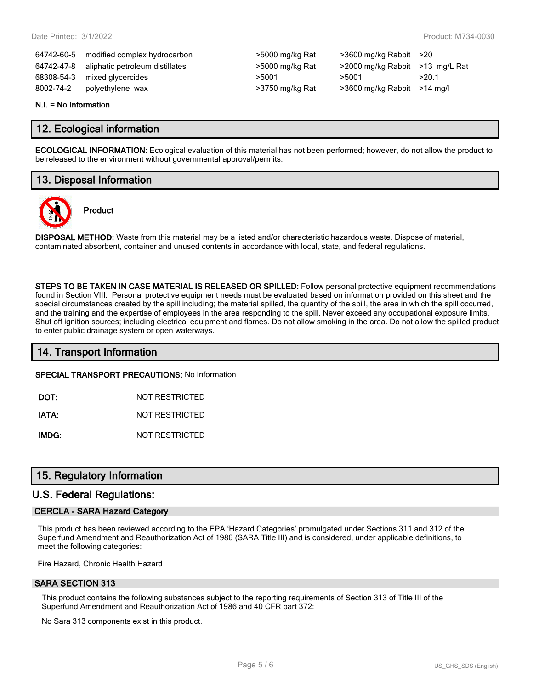64742-60-5 modified complex hydrocarbon >5000 mg/kg Rat >3600 mg/kg Rabbit >20 64742-47-8 aliphatic petroleum distillates >5000 mg/kg Rat >2000 mg/kg Rabbit >13 mg/L Rat 68308-54-3 mixed glycercides  $>5001$   $>5001$   $>5001$   $>20.1$ 8002-74-2 polyethylene wax >3750 mg/kg Rat >3600 mg/kg Rabbit >14 mg/l

| >5000 mg/kg Rat |
|-----------------|
| >5000 mg/kg Rat |
| >5001           |
| >3750 mg/kg Rat |

#### **N.I. = No Information**

## **12. Ecological information**

**ECOLOGICAL INFORMATION:** Ecological evaluation of this material has not been performed; however, do not allow the product to be released to the environment without governmental approval/permits.

# **13. Disposal Information**

**Product**



**DISPOSAL METHOD:** Waste from this material may be a listed and/or characteristic hazardous waste. Dispose of material, contaminated absorbent, container and unused contents in accordance with local, state, and federal regulations.

**STEPS TO BE TAKEN IN CASE MATERIAL IS RELEASED OR SPILLED:** Follow personal protective equipment recommendations found in Section VIII. Personal protective equipment needs must be evaluated based on information provided on this sheet and the special circumstances created by the spill including; the material spilled, the quantity of the spill, the area in which the spill occurred, and the training and the expertise of employees in the area responding to the spill. Never exceed any occupational exposure limits. Shut off ignition sources; including electrical equipment and flames. Do not allow smoking in the area. Do not allow the spilled product to enter public drainage system or open waterways.

## **14. Transport Information**

**SPECIAL TRANSPORT PRECAUTIONS:** No Information

**DOT:** NOT RESTRICTED

**IATA:** NOT RESTRICTED

**IMDG:** NOT RESTRICTED

## **15. Regulatory Information**

## **U.S. Federal Regulations:**

#### **CERCLA - SARA Hazard Category**

This product has been reviewed according to the EPA 'Hazard Categories' promulgated under Sections 311 and 312 of the Superfund Amendment and Reauthorization Act of 1986 (SARA Title III) and is considered, under applicable definitions, to meet the following categories:

Fire Hazard, Chronic Health Hazard

#### **SARA SECTION 313**

This product contains the following substances subject to the reporting requirements of Section 313 of Title III of the Superfund Amendment and Reauthorization Act of 1986 and 40 CFR part 372:

No Sara 313 components exist in this product.